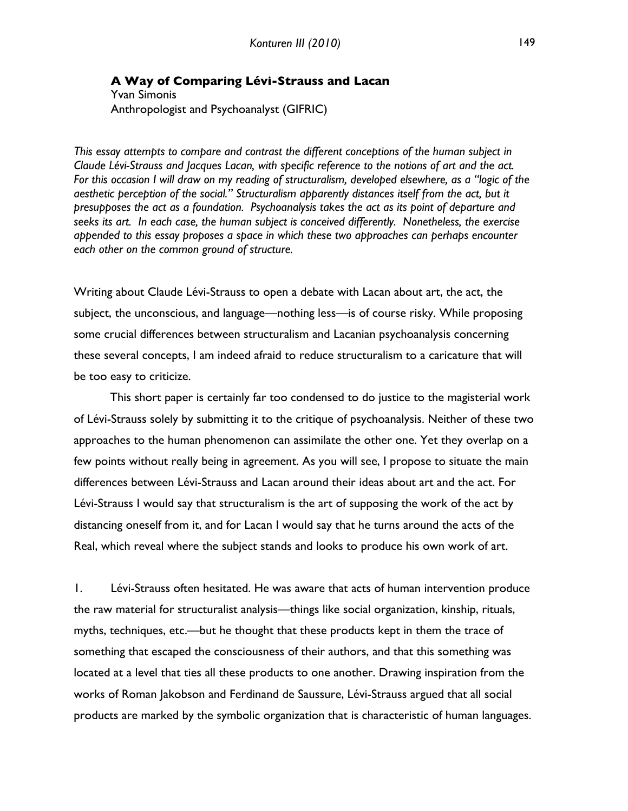### **A Way of Comparing Lévi-Strauss and Lacan** Yvan Simonis Anthropologist and Psychoanalyst (GIFRIC)

*This essay attempts to compare and contrast the different conceptions of the human subject in Claude Lévi-Strauss and Jacques Lacan, with specific reference to the notions of art and the act. For this occasion I will draw on my reading of structuralism, developed elsewhere, as a "logic of the aesthetic perception of the social." Structuralism apparently distances itself from the act, but it presupposes the act as a foundation. Psychoanalysis takes the act as its point of departure and seeks its art. In each case, the human subject is conceived differently. Nonetheless, the exercise appended to this essay proposes a space in which these two approaches can perhaps encounter each other on the common ground of structure.* 

Writing about Claude Lévi-Strauss to open a debate with Lacan about art, the act, the subject, the unconscious, and language—nothing less—is of course risky. While proposing some crucial differences between structuralism and Lacanian psychoanalysis concerning these several concepts, I am indeed afraid to reduce structuralism to a caricature that will be too easy to criticize.

This short paper is certainly far too condensed to do justice to the magisterial work of Lévi-Strauss solely by submitting it to the critique of psychoanalysis. Neither of these two approaches to the human phenomenon can assimilate the other one. Yet they overlap on a few points without really being in agreement. As you will see, I propose to situate the main differences between Lévi-Strauss and Lacan around their ideas about art and the act. For Lévi-Strauss I would say that structuralism is the art of supposing the work of the act by distancing oneself from it, and for Lacan I would say that he turns around the acts of the Real, which reveal where the subject stands and looks to produce his own work of art.

1. Lévi-Strauss often hesitated. He was aware that acts of human intervention produce the raw material for structuralist analysis—things like social organization, kinship, rituals, myths, techniques, etc.––but he thought that these products kept in them the trace of something that escaped the consciousness of their authors, and that this something was located at a level that ties all these products to one another. Drawing inspiration from the works of Roman Jakobson and Ferdinand de Saussure, Lévi-Strauss argued that all social products are marked by the symbolic organization that is characteristic of human languages.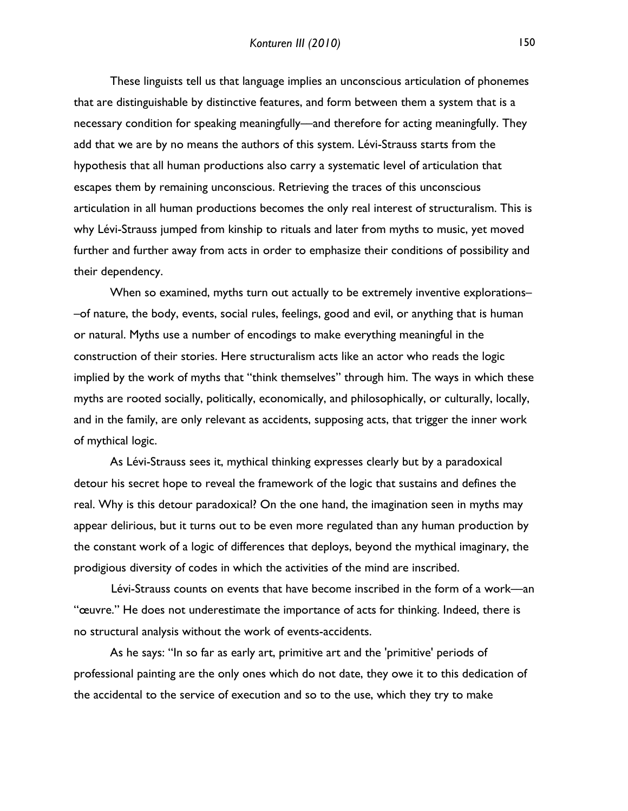These linguists tell us that language implies an unconscious articulation of phonemes that are distinguishable by distinctive features, and form between them a system that is a necessary condition for speaking meaningfully––and therefore for acting meaningfully. They add that we are by no means the authors of this system. Lévi-Strauss starts from the hypothesis that all human productions also carry a systematic level of articulation that escapes them by remaining unconscious. Retrieving the traces of this unconscious articulation in all human productions becomes the only real interest of structuralism. This is why Lévi-Strauss jumped from kinship to rituals and later from myths to music, yet moved further and further away from acts in order to emphasize their conditions of possibility and their dependency.

When so examined, myths turn out actually to be extremely inventive explorations-–of nature, the body, events, social rules, feelings, good and evil, or anything that is human or natural. Myths use a number of encodings to make everything meaningful in the construction of their stories. Here structuralism acts like an actor who reads the logic implied by the work of myths that "think themselves" through him. The ways in which these myths are rooted socially, politically, economically, and philosophically, or culturally, locally, and in the family, are only relevant as accidents, supposing acts, that trigger the inner work of mythical logic.

As Lévi-Strauss sees it, mythical thinking expresses clearly but by a paradoxical detour his secret hope to reveal the framework of the logic that sustains and defines the real. Why is this detour paradoxical? On the one hand, the imagination seen in myths may appear delirious, but it turns out to be even more regulated than any human production by the constant work of a logic of differences that deploys, beyond the mythical imaginary, the prodigious diversity of codes in which the activities of the mind are inscribed.

Lévi-Strauss counts on events that have become inscribed in the form of a work––an "œuvre." He does not underestimate the importance of acts for thinking. Indeed, there is no structural analysis without the work of events-accidents.

As he says: "In so far as early art, primitive art and the 'primitive' periods of professional painting are the only ones which do not date, they owe it to this dedication of the accidental to the service of execution and so to the use, which they try to make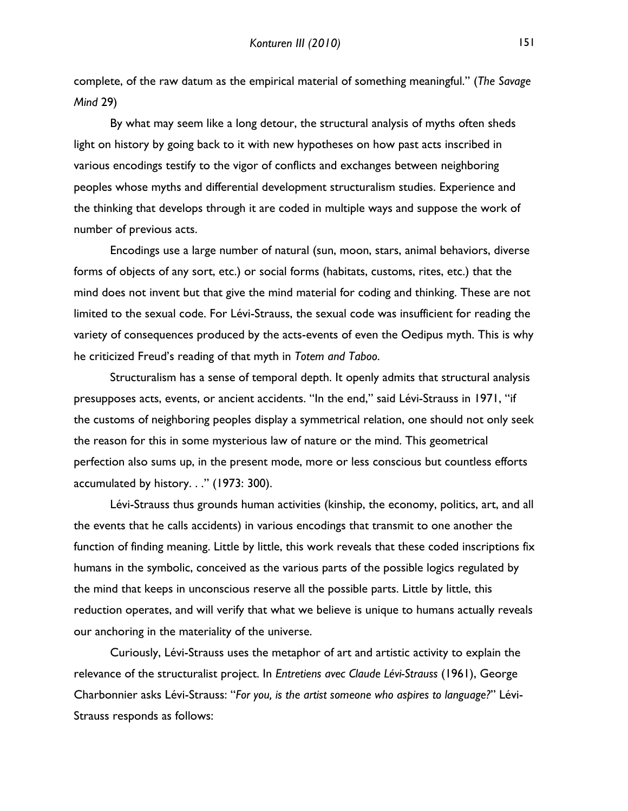complete, of the raw datum as the empirical material of something meaningful." (*The Savage Mind* 29)

By what may seem like a long detour, the structural analysis of myths often sheds light on history by going back to it with new hypotheses on how past acts inscribed in various encodings testify to the vigor of conflicts and exchanges between neighboring peoples whose myths and differential development structuralism studies. Experience and the thinking that develops through it are coded in multiple ways and suppose the work of number of previous acts.

Encodings use a large number of natural (sun, moon, stars, animal behaviors, diverse forms of objects of any sort, etc.) or social forms (habitats, customs, rites, etc.) that the mind does not invent but that give the mind material for coding and thinking. These are not limited to the sexual code. For Lévi-Strauss, the sexual code was insufficient for reading the variety of consequences produced by the acts-events of even the Oedipus myth. This is why he criticized Freud's reading of that myth in *Totem and Taboo*.

Structuralism has a sense of temporal depth. It openly admits that structural analysis presupposes acts, events, or ancient accidents. "In the end," said Lévi-Strauss in 1971, "if the customs of neighboring peoples display a symmetrical relation, one should not only seek the reason for this in some mysterious law of nature or the mind. This geometrical perfection also sums up, in the present mode, more or less conscious but countless efforts accumulated by history. . ." (1973: 300).

Lévi-Strauss thus grounds human activities (kinship, the economy, politics, art, and all the events that he calls accidents) in various encodings that transmit to one another the function of finding meaning. Little by little, this work reveals that these coded inscriptions fix humans in the symbolic, conceived as the various parts of the possible logics regulated by the mind that keeps in unconscious reserve all the possible parts. Little by little, this reduction operates, and will verify that what we believe is unique to humans actually reveals our anchoring in the materiality of the universe.

Curiously, Lévi-Strauss uses the metaphor of art and artistic activity to explain the relevance of the structuralist project. In *Entretiens avec Claude Lévi-Strauss* (1961), George Charbonnier asks Lévi-Strauss: "*For you, is the artist someone who aspires to language?*" Lévi-Strauss responds as follows: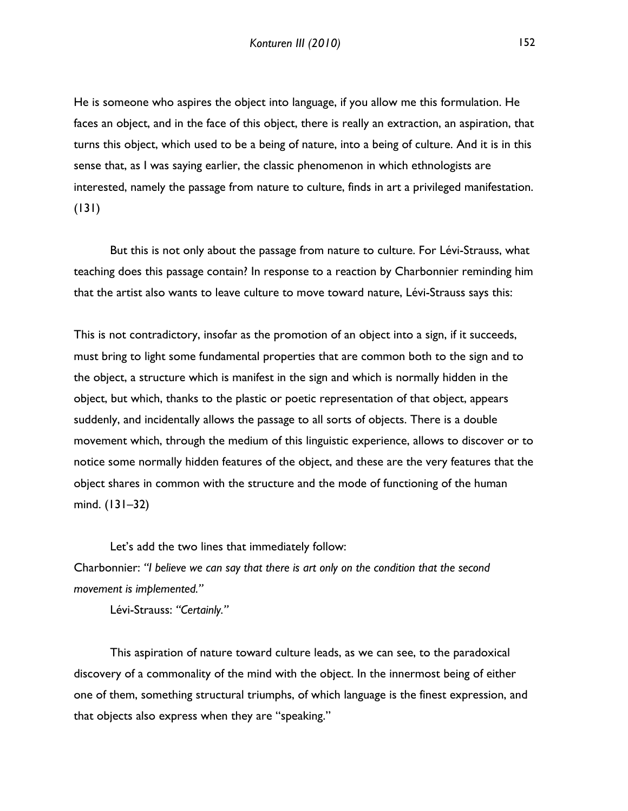He is someone who aspires the object into language, if you allow me this formulation. He faces an object, and in the face of this object, there is really an extraction, an aspiration, that turns this object, which used to be a being of nature, into a being of culture. And it is in this sense that, as I was saying earlier, the classic phenomenon in which ethnologists are interested, namely the passage from nature to culture, finds in art a privileged manifestation. (131)

But this is not only about the passage from nature to culture. For Lévi-Strauss, what teaching does this passage contain? In response to a reaction by Charbonnier reminding him that the artist also wants to leave culture to move toward nature, Lévi-Strauss says this:

This is not contradictory, insofar as the promotion of an object into a sign, if it succeeds, must bring to light some fundamental properties that are common both to the sign and to the object, a structure which is manifest in the sign and which is normally hidden in the object, but which, thanks to the plastic or poetic representation of that object, appears suddenly, and incidentally allows the passage to all sorts of objects. There is a double movement which, through the medium of this linguistic experience, allows to discover or to notice some normally hidden features of the object, and these are the very features that the object shares in common with the structure and the mode of functioning of the human mind. (131–32)

Let's add the two lines that immediately follow: Charbonnier: *"I believe we can say that there is art only on the condition that the second movement is implemented."*

Lévi-Strauss: *"Certainly."*

This aspiration of nature toward culture leads, as we can see, to the paradoxical discovery of a commonality of the mind with the object. In the innermost being of either one of them, something structural triumphs, of which language is the finest expression, and that objects also express when they are "speaking."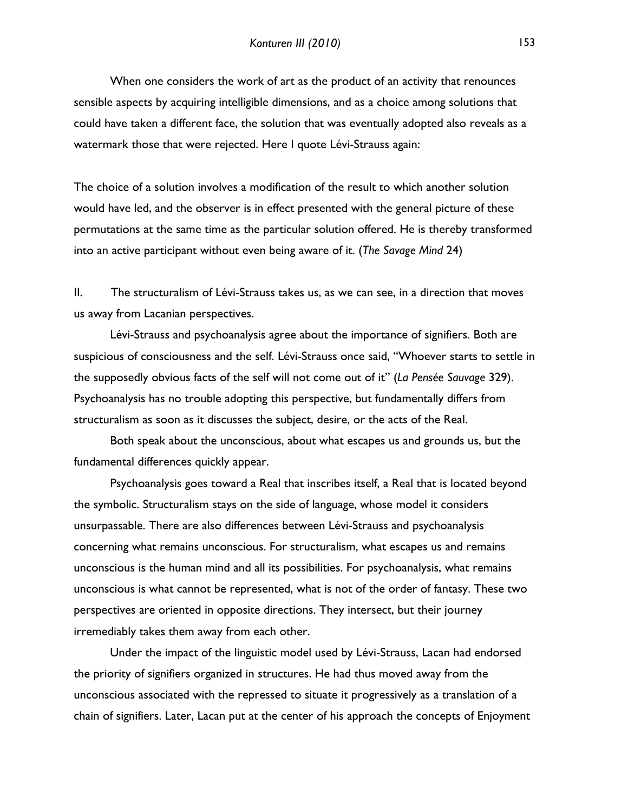When one considers the work of art as the product of an activity that renounces sensible aspects by acquiring intelligible dimensions, and as a choice among solutions that could have taken a different face, the solution that was eventually adopted also reveals as a watermark those that were rejected. Here I quote Lévi-Strauss again:

The choice of a solution involves a modification of the result to which another solution would have led, and the observer is in effect presented with the general picture of these permutations at the same time as the particular solution offered. He is thereby transformed into an active participant without even being aware of it. (*The Savage Mind* 24)

II. The structuralism of Lévi-Strauss takes us, as we can see, in a direction that moves us away from Lacanian perspectives.

Lévi-Strauss and psychoanalysis agree about the importance of signifiers. Both are suspicious of consciousness and the self. Lévi-Strauss once said, "Whoever starts to settle in the supposedly obvious facts of the self will not come out of it" (*La Pensée Sauvage* 329). Psychoanalysis has no trouble adopting this perspective, but fundamentally differs from structuralism as soon as it discusses the subject, desire, or the acts of the Real.

Both speak about the unconscious, about what escapes us and grounds us, but the fundamental differences quickly appear.

Psychoanalysis goes toward a Real that inscribes itself, a Real that is located beyond the symbolic. Structuralism stays on the side of language, whose model it considers unsurpassable. There are also differences between Lévi-Strauss and psychoanalysis concerning what remains unconscious. For structuralism, what escapes us and remains unconscious is the human mind and all its possibilities. For psychoanalysis, what remains unconscious is what cannot be represented, what is not of the order of fantasy. These two perspectives are oriented in opposite directions. They intersect, but their journey irremediably takes them away from each other.

Under the impact of the linguistic model used by Lévi-Strauss, Lacan had endorsed the priority of signifiers organized in structures. He had thus moved away from the unconscious associated with the repressed to situate it progressively as a translation of a chain of signifiers. Later, Lacan put at the center of his approach the concepts of Enjoyment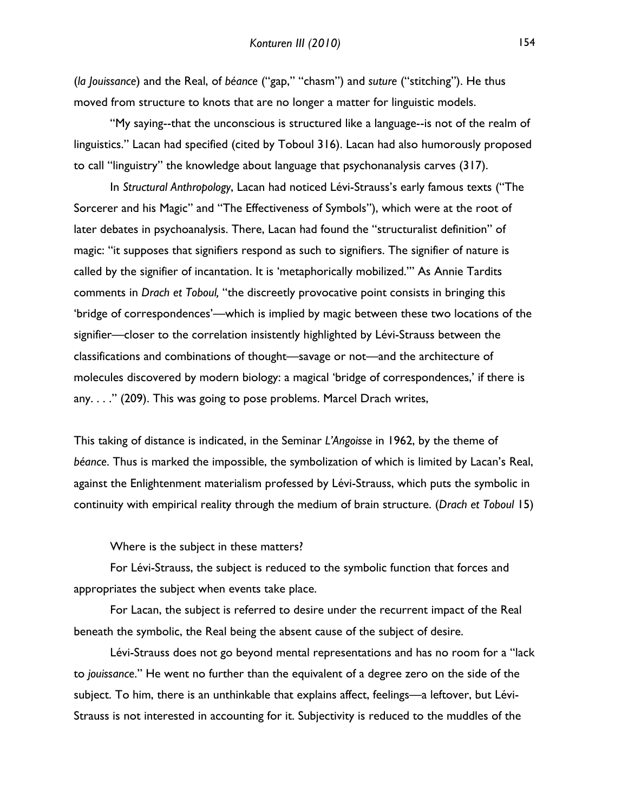(*la Jouissance*) and the Real, of *béance* ("gap," "chasm") and *suture* ("stitching"). He thus moved from structure to knots that are no longer a matter for linguistic models.

"My saying--that the unconscious is structured like a language--is not of the realm of linguistics." Lacan had specified (cited by Toboul 316). Lacan had also humorously proposed to call "linguistry" the knowledge about language that psychonanalysis carves (317).

In *Structural Anthropology*, Lacan had noticed Lévi-Strauss's early famous texts ("The Sorcerer and his Magic" and "The Effectiveness of Symbols"), which were at the root of later debates in psychoanalysis. There, Lacan had found the "structuralist definition" of magic: "it supposes that signifiers respond as such to signifiers. The signifier of nature is called by the signifier of incantation. It is 'metaphorically mobilized.'" As Annie Tardits comments in *Drach et Toboul,* "the discreetly provocative point consists in bringing this 'bridge of correspondences'––which is implied by magic between these two locations of the signifier––closer to the correlation insistently highlighted by Lévi-Strauss between the classifications and combinations of thought––savage or not––and the architecture of molecules discovered by modern biology: a magical 'bridge of correspondences,' if there is any. . . ." (209). This was going to pose problems. Marcel Drach writes,

This taking of distance is indicated, in the Seminar *L'Angoisse* in 1962, by the theme of *béance*. Thus is marked the impossible, the symbolization of which is limited by Lacan's Real, against the Enlightenment materialism professed by Lévi-Strauss, which puts the symbolic in continuity with empirical reality through the medium of brain structure. (*Drach et Toboul* 15)

Where is the subject in these matters?

For Lévi-Strauss, the subject is reduced to the symbolic function that forces and appropriates the subject when events take place.

For Lacan, the subject is referred to desire under the recurrent impact of the Real beneath the symbolic, the Real being the absent cause of the subject of desire.

Lévi-Strauss does not go beyond mental representations and has no room for a "lack to *jouissance*." He went no further than the equivalent of a degree zero on the side of the subject. To him, there is an unthinkable that explains affect, feelings––a leftover, but Lévi-Strauss is not interested in accounting for it. Subjectivity is reduced to the muddles of the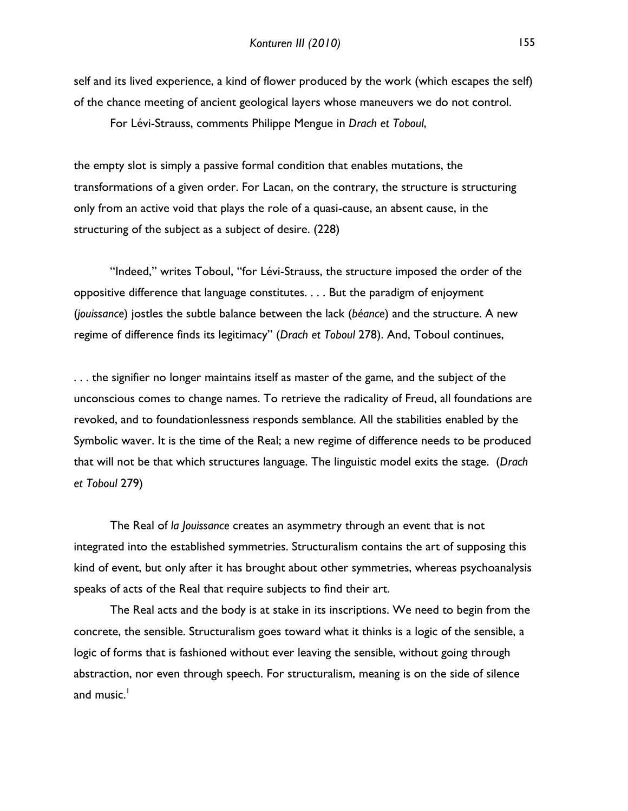self and its lived experience, a kind of flower produced by the work (which escapes the self) of the chance meeting of ancient geological layers whose maneuvers we do not control.

For Lévi-Strauss, comments Philippe Mengue in *Drach et Toboul*,

the empty slot is simply a passive formal condition that enables mutations, the transformations of a given order. For Lacan, on the contrary, the structure is structuring only from an active void that plays the role of a quasi-cause, an absent cause, in the structuring of the subject as a subject of desire. (228)

"Indeed," writes Toboul, "for Lévi-Strauss, the structure imposed the order of the oppositive difference that language constitutes. . . . But the paradigm of enjoyment (*jouissance*) jostles the subtle balance between the lack (*béance*) and the structure. A new regime of difference finds its legitimacy" (*Drach et Toboul* 278). And, Toboul continues,

. . . the signifier no longer maintains itself as master of the game, and the subject of the unconscious comes to change names. To retrieve the radicality of Freud, all foundations are revoked, and to foundationlessness responds semblance. All the stabilities enabled by the Symbolic waver. It is the time of the Real; a new regime of difference needs to be produced that will not be that which structures language. The linguistic model exits the stage. (*Drach et Toboul* 279)

The Real of *la Jouissance* creates an asymmetry through an event that is not integrated into the established symmetries. Structuralism contains the art of supposing this kind of event, but only after it has brought about other symmetries, whereas psychoanalysis speaks of acts of the Real that require subjects to find their art.

The Real acts and the body is at stake in its inscriptions. We need to begin from the concrete, the sensible. Structuralism goes toward what it thinks is a logic of the sensible, a logic of forms that is fashioned without ever leaving the sensible, without going through abstraction, nor even through speech. For structuralism, meaning is on the side of silence and music. $<sup>1</sup>$ </sup>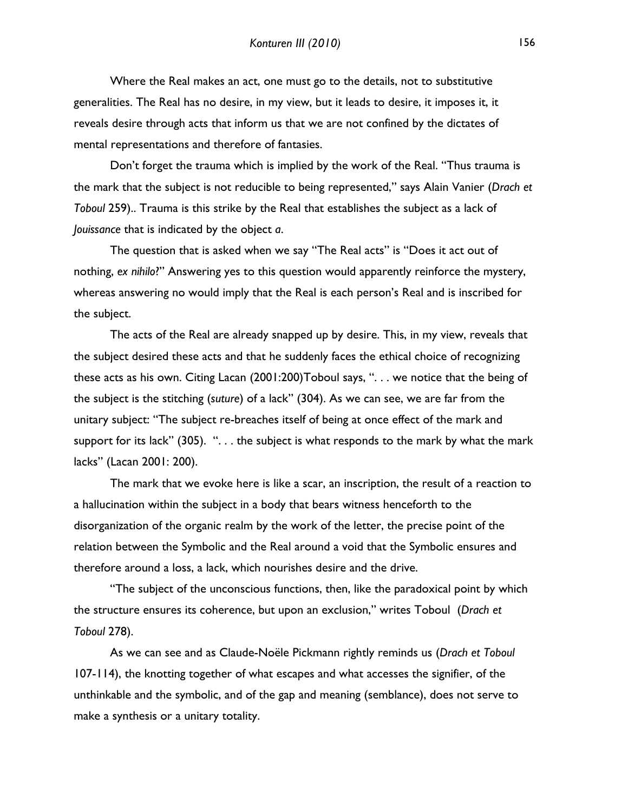Where the Real makes an act, one must go to the details, not to substitutive generalities. The Real has no desire, in my view, but it leads to desire, it imposes it, it reveals desire through acts that inform us that we are not confined by the dictates of mental representations and therefore of fantasies.

Don't forget the trauma which is implied by the work of the Real. "Thus trauma is the mark that the subject is not reducible to being represented," says Alain Vanier (*Drach et Toboul* 259).. Trauma is this strike by the Real that establishes the subject as a lack of *Jouissance* that is indicated by the object *a*.

The question that is asked when we say "The Real acts" is "Does it act out of nothing, *ex nihilo*?" Answering yes to this question would apparently reinforce the mystery, whereas answering no would imply that the Real is each person's Real and is inscribed for the subject.

The acts of the Real are already snapped up by desire. This, in my view, reveals that the subject desired these acts and that he suddenly faces the ethical choice of recognizing these acts as his own. Citing Lacan (2001:200)Toboul says, ". . . we notice that the being of the subject is the stitching (*suture*) of a lack" (304). As we can see, we are far from the unitary subject: "The subject re-breaches itself of being at once effect of the mark and support for its lack" (305). " $\dots$  the subject is what responds to the mark by what the mark lacks" (Lacan 2001: 200).

The mark that we evoke here is like a scar, an inscription, the result of a reaction to a hallucination within the subject in a body that bears witness henceforth to the disorganization of the organic realm by the work of the letter, the precise point of the relation between the Symbolic and the Real around a void that the Symbolic ensures and therefore around a loss, a lack, which nourishes desire and the drive.

"The subject of the unconscious functions, then, like the paradoxical point by which the structure ensures its coherence, but upon an exclusion," writes Toboul (*Drach et Toboul* 278).

As we can see and as Claude-Noële Pickmann rightly reminds us (*Drach et Toboul* 107-114), the knotting together of what escapes and what accesses the signifier, of the unthinkable and the symbolic, and of the gap and meaning (semblance), does not serve to make a synthesis or a unitary totality.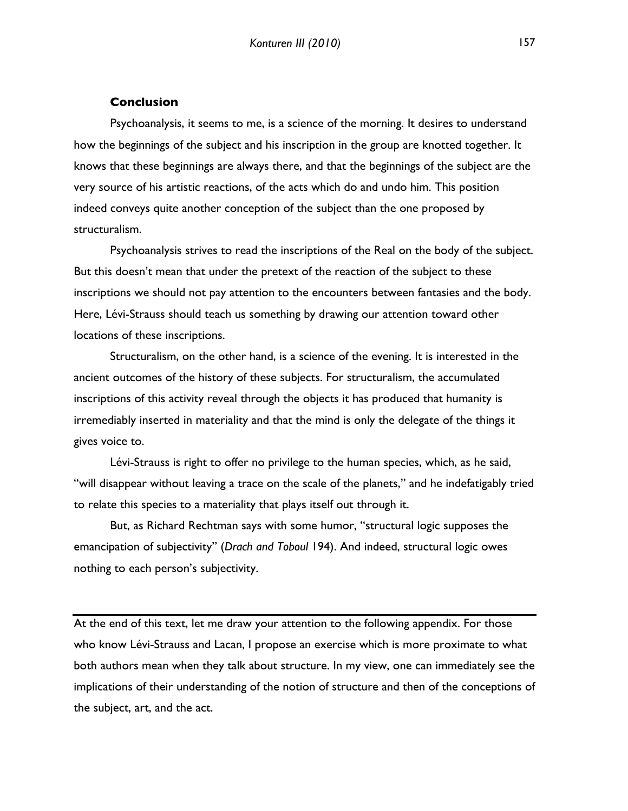#### **Conclusion**

Psychoanalysis, it seems to me, is a science of the morning. It desires to understand how the beginnings of the subject and his inscription in the group are knotted together. It knows that these beginnings are always there, and that the beginnings of the subject are the very source of his artistic reactions, of the acts which do and undo him. This position indeed conveys quite another conception of the subject than the one proposed by structuralism.

Psychoanalysis strives to read the inscriptions of the Real on the body of the subject. But this doesn't mean that under the pretext of the reaction of the subject to these inscriptions we should not pay attention to the encounters between fantasies and the body. Here, Lévi-Strauss should teach us something by drawing our attention toward other locations of these inscriptions.

Structuralism, on the other hand, is a science of the evening. It is interested in the ancient outcomes of the history of these subjects. For structuralism, the accumulated inscriptions of this activity reveal through the objects it has produced that humanity is irremediably inserted in materiality and that the mind is only the delegate of the things it gives voice to.

Lévi-Strauss is right to offer no privilege to the human species, which, as he said, "will disappear without leaving a trace on the scale of the planets," and he indefatigably tried to relate this species to a materiality that plays itself out through it.

But, as Richard Rechtman says with some humor, "structural logic supposes the emancipation of subjectivity" (*Drach and Toboul* 194). And indeed, structural logic owes nothing to each person's subjectivity.

At the end of this text, let me draw your attention to the following appendix. For those who know Lévi-Strauss and Lacan, I propose an exercise which is more proximate to what both authors mean when they talk about structure. In my view, one can immediately see the implications of their understanding of the notion of structure and then of the conceptions of the subject, art, and the act.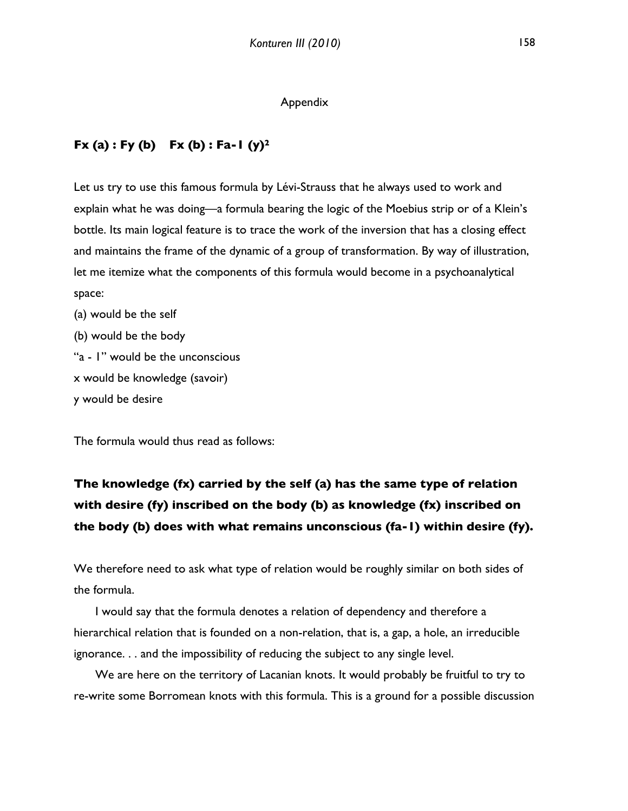#### Appendix

## **Fx (a) : Fy (b) Fx (b) : Fa-1 (y)2**

Let us try to use this famous formula by Lévi-Strauss that he always used to work and explain what he was doing—a formula bearing the logic of the Moebius strip or of a Klein's bottle. Its main logical feature is to trace the work of the inversion that has a closing effect and maintains the frame of the dynamic of a group of transformation. By way of illustration, let me itemize what the components of this formula would become in a psychoanalytical space:

(a) would be the self (b) would be the body "a - 1" would be the unconscious x would be knowledge (savoir) y would be desire

The formula would thus read as follows:

# **The knowledge (fx) carried by the self (a) has the same type of relation with desire (fy) inscribed on the body (b) as knowledge (fx) inscribed on the body (b) does with what remains unconscious (fa-1) within desire (fy).**

We therefore need to ask what type of relation would be roughly similar on both sides of the formula.

I would say that the formula denotes a relation of dependency and therefore a hierarchical relation that is founded on a non-relation, that is, a gap, a hole, an irreducible ignorance. . . and the impossibility of reducing the subject to any single level.

We are here on the territory of Lacanian knots. It would probably be fruitful to try to re-write some Borromean knots with this formula. This is a ground for a possible discussion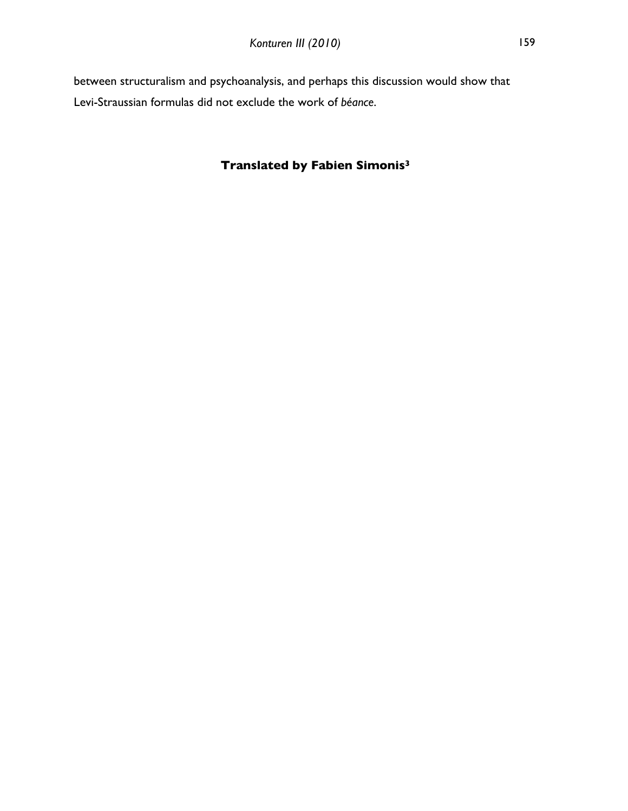between structuralism and psychoanalysis, and perhaps this discussion would show that Levi-Straussian formulas did not exclude the work of *béance*.

## **Translated by Fabien Simonis3**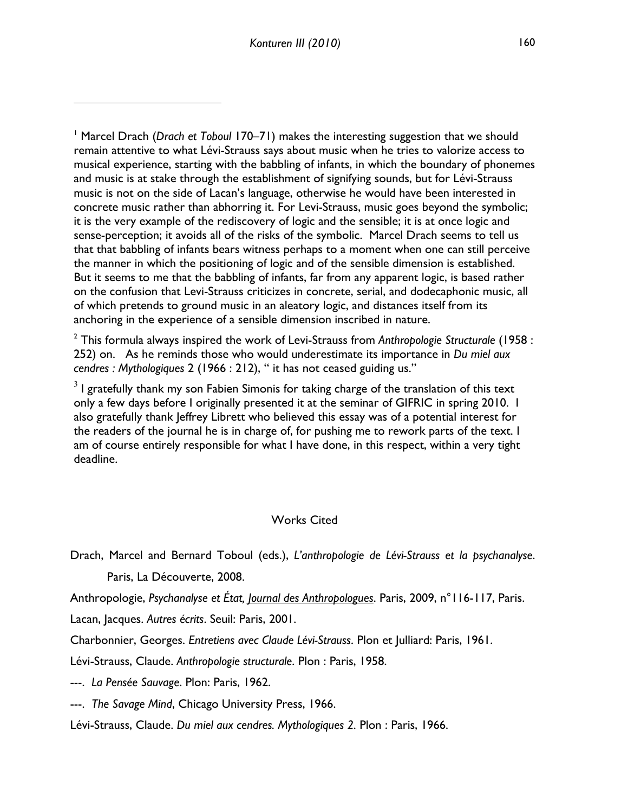2 This formula always inspired the work of Levi-Strauss from *Anthropologie Structurale* (1958 : 252) on. As he reminds those who would underestimate its importance in *Du miel aux cendres : Mythologiques* 2 (1966 : 212), " it has not ceased guiding us."

 $3$  I gratefully thank my son Fabien Simonis for taking charge of the translation of this text only a few days before I originally presented it at the seminar of GIFRIC in spring 2010. I also gratefully thank Jeffrey Librett who believed this essay was of a potential interest for the readers of the journal he is in charge of, for pushing me to rework parts of the text. I am of course entirely responsible for what I have done, in this respect, within a very tight deadline.

## Works Cited

Drach, Marcel and Bernard Toboul (eds.), *L'anthropologie de Lévi-Strauss et la psychanalyse*. Paris, La Découverte, 2008.

Anthropologie, *Psychanalyse et État, Journal des Anthropologues*. Paris, 2009, n°116-117, Paris.

Lacan, Jacques. *Autres écrits*. Seuil: Paris, 2001.

 $\overline{a}$ 

Charbonnier, Georges. *Entretiens avec Claude Lévi-Strauss*. Plon et Julliard: Paris, 1961.

Lévi-Strauss, Claude. *Anthropologie structurale*. Plon : Paris, 1958.

---. *La Pensée Sauvage*. Plon: Paris, 1962.

---. *The Savage Mind*, Chicago University Press, 1966.

Lévi-Strauss, Claude. *Du miel aux cendres. Mythologiques 2.* Plon : Paris, 1966.

<sup>1</sup> Marcel Drach (*Drach et Toboul* 170–71) makes the interesting suggestion that we should remain attentive to what Lévi-Strauss says about music when he tries to valorize access to musical experience, starting with the babbling of infants, in which the boundary of phonemes and music is at stake through the establishment of signifying sounds, but for Lévi-Strauss music is not on the side of Lacan's language, otherwise he would have been interested in concrete music rather than abhorring it. For Levi-Strauss, music goes beyond the symbolic; it is the very example of the rediscovery of logic and the sensible; it is at once logic and sense-perception; it avoids all of the risks of the symbolic. Marcel Drach seems to tell us that that babbling of infants bears witness perhaps to a moment when one can still perceive the manner in which the positioning of logic and of the sensible dimension is established. But it seems to me that the babbling of infants, far from any apparent logic, is based rather on the confusion that Levi-Strauss criticizes in concrete, serial, and dodecaphonic music, all of which pretends to ground music in an aleatory logic, and distances itself from its anchoring in the experience of a sensible dimension inscribed in nature.